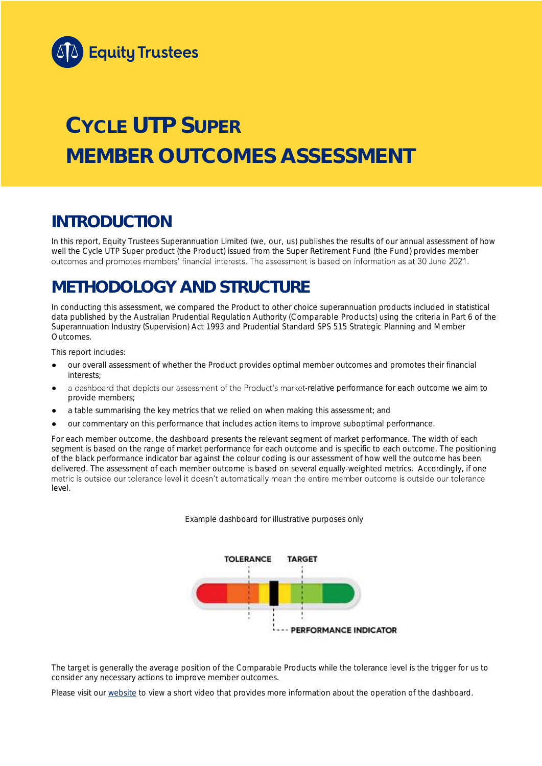

# **CYCLE UTP SUPER MEMBER OUTCOMES ASSESSMENT**

## **INTRODUCTION**

In this report, Equity Trustees Superannuation Limited (we, our, us) publishes the results of our annual assessment of how well the Cycle UTP Super product (the Product) issued from the Super Retirement Fund (the Fund) provides member outcomes and promotes members' financial interests. The assessment is based on information as at 30 June 2021.

## **METHODOLOGY AND STRUCTURE**

In conducting this assessment, we compared the Product to other choice superannuation products included in statistical data published by the Australian Prudential Regulation Authority (Comparable Products) using the criteria in Part 6 of the *Superannuation Industry (Supervision) Act 1993* and Prudential Standard SPS 515 *Strategic Planning and Member Outcomes*.

This report includes:

- our overall assessment of whether the Product provides optimal member outcomes and promotes their financial interests;
- a dashboard that depicts our assessment of the Product's market-relative performance for each outcome we aim to provide members;
- a table summarising the key metrics that we relied on when making this assessment; and
- our commentary on this performance that includes action items to improve suboptimal performance.

For each member outcome, the dashboard presents the relevant segment of market performance. The width of each segment is based on the range of market performance for each outcome and is specific to each outcome. The positioning of the black performance indicator bar against the colour coding is our assessment of how well the outcome has been delivered. The assessment of each member outcome is based on several equally-weighted metrics. Accordingly, if one<br>metric is outside our tolerance level it doesn't automatically mean the entire member outcome is outside ou level.

*Example dashboard for illustrative purposes only*



The target is generally the average position of the Comparable Products while the tolerance level is the trigger for us to consider any necessary actions to improve member outcomes.

Please visit our [website](https://www.eqt.com.au/superannuation) to view a short video that provides more information about the operation of the dashboard.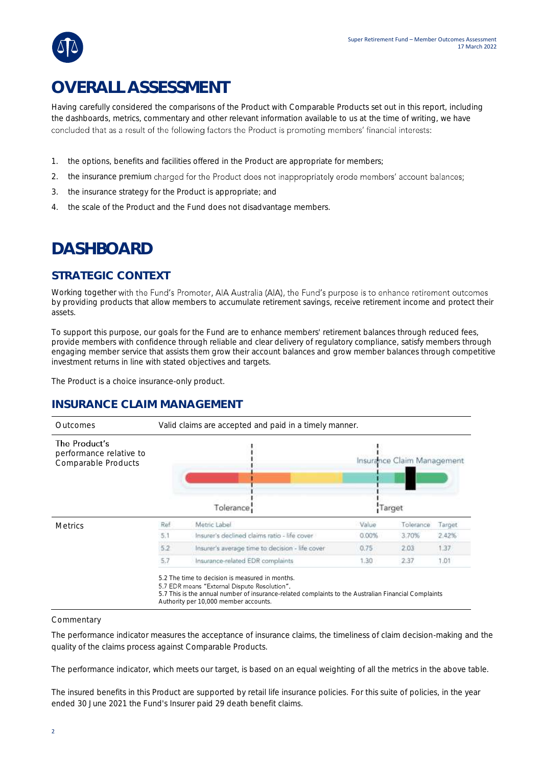## **OVERALL ASSESSMENT**

Having carefully considered the comparisons of the Product with Comparable Products set out in this report, including the dashboards, metrics, commentary and other relevant information available to us at the time of writing, we have concluded that as a result of the following factors the Product is promoting members' financial interests:

- 1. the options, benefits and facilities offered in the Product are appropriate for members;
- 2. the insurance premium charged for the Product does not inappropriately erode members' account balances;
- 3. the insurance strategy for the Product is appropriate; and
- 4. the scale of the Product and the Fund does not disadvantage members.

## **DASHBOARD**

### **STRATEGIC CONTEXT**

Working together with the Fund's Promoter, AIA Australia (AIA), the Fund's purpose is to enhance retirement outcomes by providing products that allow members to accumulate retirement savings, receive retirement income and protect their assets.

To support this purpose, our goals for the Fund are to enhance members' retirement balances through reduced fees, provide members with confidence through reliable and clear delivery of regulatory compliance, satisfy members through engaging member service that assists them grow their account balances and grow member balances through competitive investment returns in line with stated objectives and targets.

The Product is a choice insurance-only product.

### **INSURANCE CLAIM MANAGEMENT**

| Outcomes                                                        | Valid claims are accepted and paid in a timely manner. |                                                 |        |                            |        |  |  |  |
|-----------------------------------------------------------------|--------------------------------------------------------|-------------------------------------------------|--------|----------------------------|--------|--|--|--|
| The Product's<br>performance relative to<br>Comparable Products |                                                        |                                                 |        | Insurance Claim Management |        |  |  |  |
|                                                                 | Tolerance                                              |                                                 | Target |                            |        |  |  |  |
| <b>Metrics</b>                                                  | Ref                                                    | Metric Label                                    | Value  | Tolerance                  | Target |  |  |  |
|                                                                 | 5.1                                                    | Insurer's declined claims ratio - life cover    | 0.00%  | 3.70%                      | 2.42%  |  |  |  |
|                                                                 | 5.2                                                    | Insurer's average time to decision - life cover | 0.75   | 2.03                       | 1.37   |  |  |  |
|                                                                 | 5.7                                                    | Insurance-related EDR complaints                | 1.30   | 2.37                       | 1.01   |  |  |  |

#### Commentary

The performance indicator measures the acceptance of insurance claims, the timeliness of claim decision-making and the quality of the claims process against Comparable Products.

Authority per 10,000 member accounts.

The performance indicator, which meets our target, is based on an equal weighting of all the metrics in the above table.

The insured benefits in this Product are supported by retail life insurance policies. For this suite of policies, in the year ended 30 June 2021 the Fund's Insurer paid 29 death benefit claims.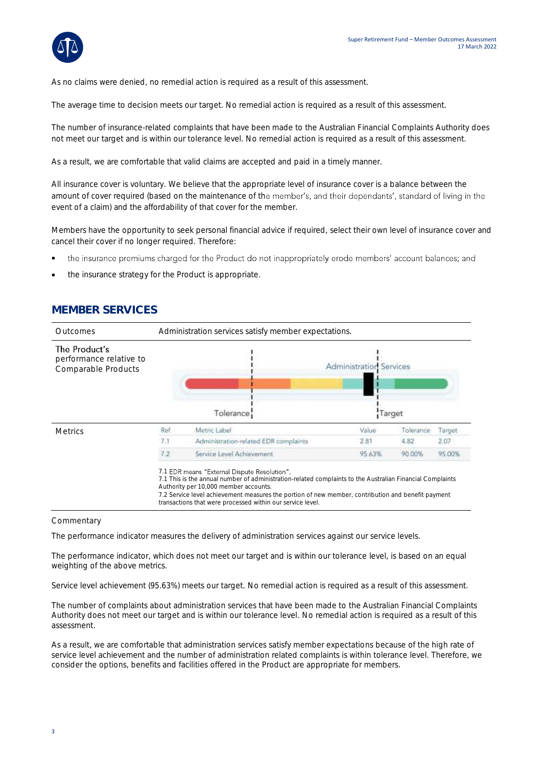

As no claims were denied, no remedial action is required as a result of this assessment.

The average time to decision meets our target. No remedial action is required as a result of this assessment.

The number of insurance-related complaints that have been made to the Australian Financial Complaints Authority does not meet our target and is within our tolerance level. No remedial action is required as a result of this assessment.

As a result, we are comfortable that valid claims are accepted and paid in a timely manner.

All insurance cover is voluntary. We believe that the appropriate level of insurance cover is a balance between the amount of cover required (based on the maintenance of the member's, and their dependants', standard of living in the event of a claim) and the affordability of that cover for the member.

Members have the opportunity to seek personal financial advice if required, select their own level of insurance cover and cancel their cover if no longer required. Therefore:

- the insurance premiums charged for the Product do not inappropriately erode members' account balances; and •
- the insurance strategy for the Product is appropriate.

## **MEMBER SERVICES**



#### **Commentary**

The performance indicator measures the delivery of administration services against our service levels.

The performance indicator, which does not meet our target and is within our tolerance level, is based on an equal weighting of the above metrics.

Service level achievement (95.63%) meets our target. No remedial action is required as a result of this assessment.

The number of complaints about administration services that have been made to the Australian Financial Complaints Authority does not meet our target and is within our tolerance level. No remedial action is required as a result of this assessment.

As a result, we are comfortable that administration services satisfy member expectations because of the high rate of service level achievement and the number of administration related complaints is within tolerance level. Therefore, we consider the options, benefits and facilities offered in the Product are appropriate for members.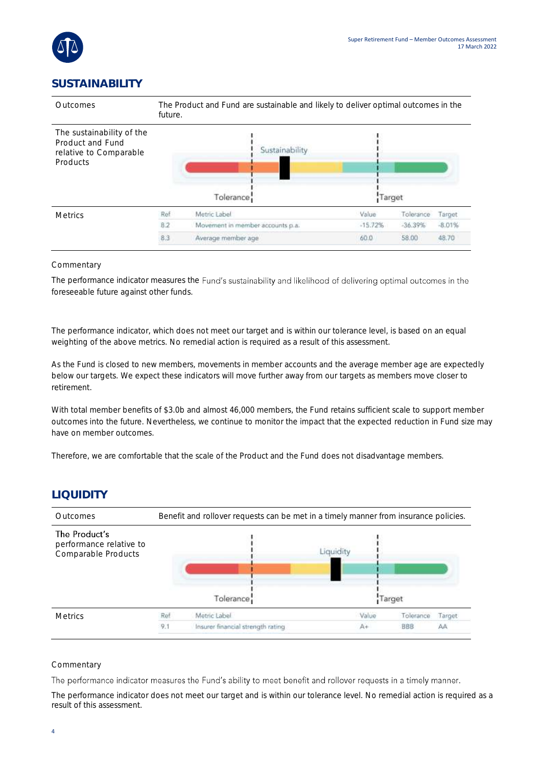

### **SUSTAINABILITY**



#### **Commentary**

The performance indicator measures the Fund's sustainability and likelihood of delivering optimal outcomes in the foreseeable future against other funds.

The performance indicator, which does not meet our target and is within our tolerance level, is based on an equal weighting of the above metrics. No remedial action is required as a result of this assessment.

As the Fund is closed to new members, movements in member accounts and the average member age are expectedly below our targets. We expect these indicators will move further away from our targets as members move closer to retirement.

With total member benefits of \$3.0b and almost 46,000 members, the Fund retains sufficient scale to support member outcomes into the future. Nevertheless, we continue to monitor the impact that the expected reduction in Fund size may have on member outcomes.

Therefore, we are comfortable that the scale of the Product and the Fund does not disadvantage members.

### **LIQUIDITY**

| Outcomes                                                        | Benefit and rollover requests can be met in a timely manner from insurance policies. |                                   |           |           |        |  |  |
|-----------------------------------------------------------------|--------------------------------------------------------------------------------------|-----------------------------------|-----------|-----------|--------|--|--|
| The Product's<br>performance relative to<br>Comparable Products |                                                                                      |                                   | Liquidity |           |        |  |  |
|                                                                 |                                                                                      | Tolerance                         |           | Target    |        |  |  |
| <b>Metrics</b>                                                  | Ref                                                                                  | Metric Label                      | Value     | Tolerance | Target |  |  |
|                                                                 | 9.1                                                                                  | Insurer financial strength rating | A+        | BBB       | AA     |  |  |

#### **Commentary**

The performance indicator measures the Fund's ability to meet benefit and rollover requests in a timely manner.

The performance indicator does not meet our target and is within our tolerance level. No remedial action is required as a result of this assessment.